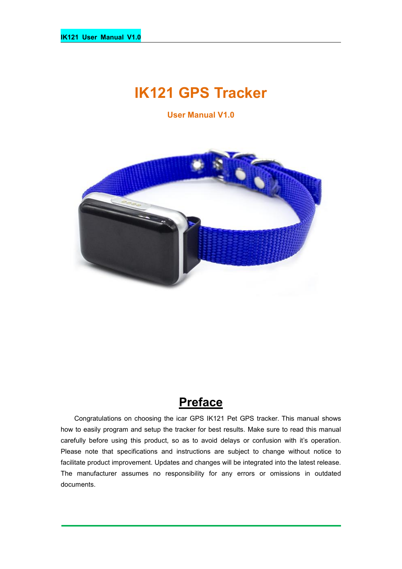# **IK121 GPS Tracker**

**User Manual V1.0**



## **Preface**

Congratulations on choosing the icar GPS IK121 Pet GPS tracker. This manual shows how to easily program and setup the tracker for best results. Make sure to read this manual carefully before using this product, so as to avoid delays or confusion with it's operation. Please note that specifications and instructions are subject to change without notice to facilitate product improvement. Updates and changes will be integrated into the latest release. The manufacturer assumes no responsibility for any errors or omissions in outdated documents.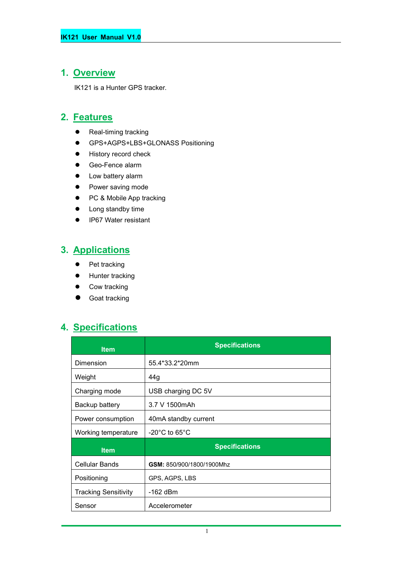#### **1. Overview**

IK121 is a Hunter GPS tracker.

#### **2. Features**

- Real-timing tracking
- GPS+AGPS+LBS+GLONASS Positioning
- **•** History record check
- Geo-Fence alarm
- Low battery alarm
- Power saving mode
- PC & Mobile App tracking
- Long standby time
- IP67 Water resistant

## **3. Applications**

- Pet tracking
- **•** Hunter tracking
- Cow tracking
- Goat tracking

#### **4. Specifications**

| <b>Item</b>                 | <b>Specifications</b>              |  |
|-----------------------------|------------------------------------|--|
| Dimension                   | 55.4*33.2*20mm                     |  |
| Weight                      | 44g                                |  |
| Charging mode               | USB charging DC 5V                 |  |
| Backup battery              | 3.7 V 1500mAh                      |  |
| Power consumption           | 40mA standby current               |  |
| Working temperature         | $-20^{\circ}$ C to 65 $^{\circ}$ C |  |
| <b>Item</b>                 | <b>Specifications</b>              |  |
| <b>Cellular Bands</b>       | GSM: 850/900/1800/1900Mhz          |  |
| Positioning                 | GPS, AGPS, LBS                     |  |
| <b>Tracking Sensitivity</b> | $-162$ dBm                         |  |
| Sensor                      | Accelerometer                      |  |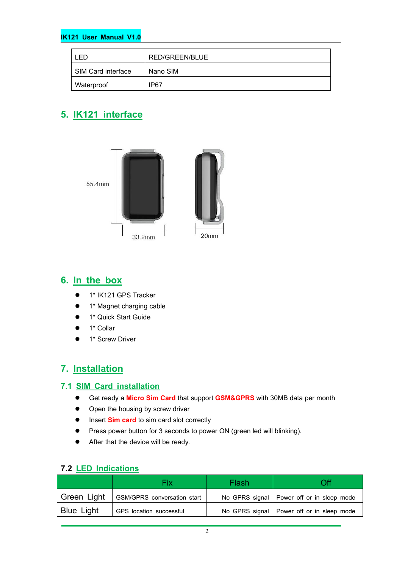#### **IK121 User Manual V1.0**

| ЕĐ                 | RED/GREEN/BLUE |  |
|--------------------|----------------|--|
| SIM Card interface | Nano SIM       |  |
| Waterproof         | IP67           |  |

## **5. IK121 interface**



#### **6. In the box**

- 1\* IK121 GPS Tracker
- 1\* Magnet charging cable
- 1\* Quick Start Guide
- 1\* Collar
- 1\* Screw Driver

### **7. Installation**

#### **7.1 SIM Card installation**

- Get ready a **Micro Sim Card** that support **GSM&GPRS** with30MB data per month
- Open the housing by screw driver
- **Insert Sim card** to sim card slot correctly
- **•** Press power button for 3 seconds to power ON (green led will blinking).
- After that the device will be ready.

|                   | Fix                                | Flash |                                             |
|-------------------|------------------------------------|-------|---------------------------------------------|
| Green Light       | <b>GSM/GPRS</b> conversation start |       | No GPRS signal   Power off or in sleep mode |
| <b>Blue Light</b> | GPS location successful            |       | No GPRS signal   Power off or in sleep mode |

#### **7.2 LED Indications**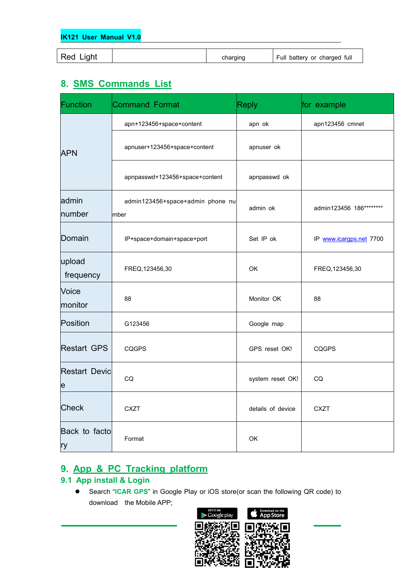| $Red$ $\overline{\phantom{a}}$<br>.iaht<br>charging | Full<br>full<br>batterv or<br>charged |
|-----------------------------------------------------|---------------------------------------|
|-----------------------------------------------------|---------------------------------------|

## **8. SMS Commands List**

| Function                  | <b>Command Format</b>                    | <b>Reply</b>      | for example             |
|---------------------------|------------------------------------------|-------------------|-------------------------|
|                           | apn+123456+space+content                 | apn ok            | apn123456 cmnet         |
| <b>APN</b>                | apnuser+123456+space+content             | apnuser ok        |                         |
|                           | apnpasswd+123456+space+content           | apnpasswd ok      |                         |
| admin<br>number           | admin123456+space+admin phone nu<br>mber | admin ok          | admin123456 186******** |
| Domain                    | IP+space+domain+space+port               | Set IP ok         | IP www.icargps.net 7700 |
| upload<br>frequency       | FREQ, 123456, 30                         | OK                | FREQ, 123456, 30        |
| Voice<br>monitor          | 88                                       | Monitor OK        | 88                      |
| Position                  | G123456                                  | Google map        |                         |
| <b>Restart GPS</b>        | <b>CQGPS</b>                             | GPS reset OK!     | <b>CQGPS</b>            |
| <b>Restart Devic</b><br>e | CQ                                       | system reset OK!  | CQ                      |
| Check                     | <b>CXZT</b>                              | details of device | <b>CXZT</b>             |
| Back to facto<br>ry       | Format                                   | OK                |                         |

### **9. App & PC Tracking platform**

#### **9.1 App install & Login**

 Search "**ICAR GPS**" in Google Play or iOS store(or scan the following QR code) to download the Mobile APP;

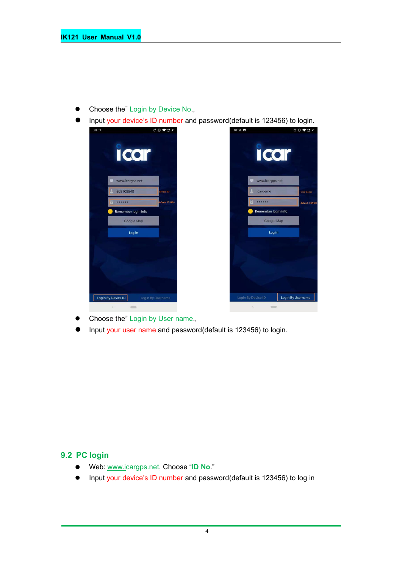- Choose the" Login by Device No.,
- Input your device's ID number and password(default is 123456) to login.



- Choose the" Login by User name.,
- Input your user name and password(default is 123456) to login.

#### **9.2 PC login**

- Web: [www.ic](http://www.trackits.com)argps.net, Choose "**ID No**."
- Input your device's ID number and password(default is 123456) to log in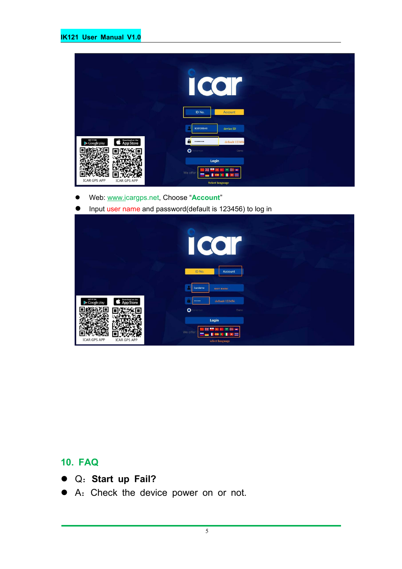|                                                          | U<br>ID No.<br>Account                                        |  |
|----------------------------------------------------------|---------------------------------------------------------------|--|
|                                                          | 808108848<br>device ID                                        |  |
| Download on the<br>App Store<br>GET IT ON<br>Google play | $\mathbf{a}$<br>default 123456<br>                            |  |
|                                                          | $\bullet$<br>enember<br>Demo                                  |  |
| <b>ICAR GPS APP</b><br><b>ICAR GPS APP</b>               | Login<br>We offer<br>$\overline{a}$<br><b>Select language</b> |  |

- Web: [www.ic](http://www.trackits.com)argps.net, Choose "**Account**"
- **Input user name and password(default is 123456) to log in**

|                                                                 | $\bullet$<br>$\bullet$<br>$\big($                                                                   |
|-----------------------------------------------------------------|-----------------------------------------------------------------------------------------------------|
|                                                                 | ID No.<br>Account<br>icardemo<br>user name                                                          |
| Download on the<br>GET IT ON<br><b>App Store</b><br>Google play | default 123456<br>-<br>$\bullet$<br>enember<br>Demo                                                 |
| <b>ICAR GPS APP</b><br><b>ICAR GPS APP</b>                      | Login<br>m<br>₩<br><b>PART</b><br>We offer<br>÷<br>n<br>=<br>$\overline{1}$<br>÷<br>select language |

## **10. FAQ**

- Q:**Start up Fail?**
- A:Check the device power on or not.